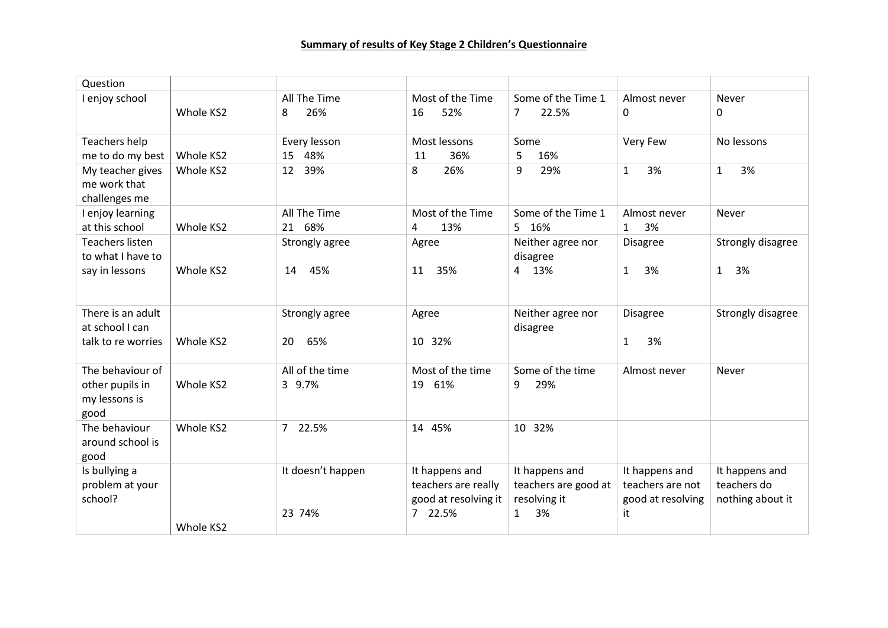| Question                                          |           |                   |                                                               |                                                        |                                                         |                                                   |
|---------------------------------------------------|-----------|-------------------|---------------------------------------------------------------|--------------------------------------------------------|---------------------------------------------------------|---------------------------------------------------|
| I enjoy school                                    |           | All The Time      | Most of the Time                                              | Some of the Time 1                                     | Almost never                                            | Never                                             |
|                                                   | Whole KS2 | 26%<br>8          | 52%<br>16                                                     | 22.5%<br>$\overline{7}$                                | 0                                                       | $\Omega$                                          |
| Teachers help                                     |           | Every lesson      | Most lessons                                                  | Some                                                   | Very Few                                                | No lessons                                        |
| me to do my best                                  | Whole KS2 | 15<br>48%         | 36%<br>11                                                     | 5<br>16%                                               |                                                         |                                                   |
| My teacher gives<br>me work that<br>challenges me | Whole KS2 | 39%<br>12         | 26%<br>8                                                      | 9<br>29%                                               | 3%<br>$\mathbf{1}$                                      | $\mathbf{1}$<br>3%                                |
| I enjoy learning                                  |           | All The Time      | Most of the Time                                              | Some of the Time 1                                     | Almost never                                            | Never                                             |
| at this school                                    | Whole KS2 | 21 68%            | 13%<br>4                                                      | 5 16%                                                  | 3%<br>$\mathbf{1}$                                      |                                                   |
| <b>Teachers listen</b>                            |           | Strongly agree    | Agree                                                         | Neither agree nor                                      | Disagree                                                | Strongly disagree                                 |
| to what I have to                                 |           |                   |                                                               | disagree                                               |                                                         |                                                   |
| say in lessons                                    | Whole KS2 | 45%<br>14         | 35%<br>11                                                     | 4 13%                                                  | 3%<br>$\mathbf{1}$                                      | 1<br>3%                                           |
| There is an adult                                 |           | Strongly agree    | Agree                                                         | Neither agree nor                                      | <b>Disagree</b>                                         | Strongly disagree                                 |
| at school I can                                   |           |                   |                                                               | disagree                                               |                                                         |                                                   |
| talk to re worries                                | Whole KS2 | 65%<br>20         | 10 32%                                                        |                                                        | 3%<br>$\mathbf{1}$                                      |                                                   |
| The behaviour of                                  |           | All of the time   | Most of the time                                              | Some of the time                                       | Almost never                                            | Never                                             |
| other pupils in<br>my lessons is<br>good          | Whole KS2 | 3 9.7%            | 61%<br>19                                                     | 29%<br>9                                               |                                                         |                                                   |
| The behaviour<br>around school is<br>good         | Whole KS2 | 7 22.5%           | 14 45%                                                        | 10 32%                                                 |                                                         |                                                   |
| Is bullying a<br>problem at your<br>school?       |           | It doesn't happen | It happens and<br>teachers are really<br>good at resolving it | It happens and<br>teachers are good at<br>resolving it | It happens and<br>teachers are not<br>good at resolving | It happens and<br>teachers do<br>nothing about it |
|                                                   |           | 23 74%            | 7 22.5%                                                       | 3%<br>$\mathbf{1}$                                     | it                                                      |                                                   |
|                                                   | Whole KS2 |                   |                                                               |                                                        |                                                         |                                                   |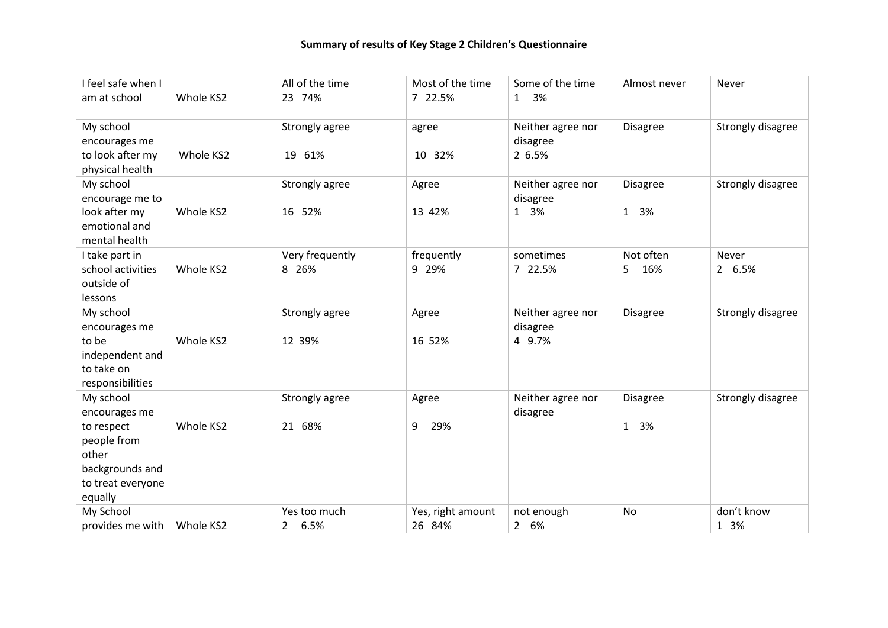| I feel safe when I |           | All of the time        | Most of the time  | Some of the time   | Almost never    | Never             |
|--------------------|-----------|------------------------|-------------------|--------------------|-----------------|-------------------|
| am at school       | Whole KS2 | 23 74%                 | 7 22.5%           | 3%<br>$\mathbf{1}$ |                 |                   |
|                    |           |                        |                   |                    |                 |                   |
| My school          |           | Strongly agree         | agree             | Neither agree nor  | <b>Disagree</b> | Strongly disagree |
| encourages me      |           |                        |                   | disagree           |                 |                   |
| to look after my   | Whole KS2 | 19 61%                 | 10 32%            | 2 6.5%             |                 |                   |
| physical health    |           |                        |                   |                    |                 |                   |
| My school          |           | Strongly agree         | Agree             | Neither agree nor  | <b>Disagree</b> | Strongly disagree |
| encourage me to    |           |                        |                   | disagree           |                 |                   |
| look after my      | Whole KS2 | 16 52%                 | 13 42%            | 1 3%               | 1 3%            |                   |
| emotional and      |           |                        |                   |                    |                 |                   |
| mental health      |           |                        |                   |                    |                 |                   |
| I take part in     |           | Very frequently        | frequently        | sometimes          | Not often       | Never             |
| school activities  | Whole KS2 | 8 26%                  | 9 29%             | 7 22.5%            | 16%<br>5.       | 2 6.5%            |
| outside of         |           |                        |                   |                    |                 |                   |
| lessons            |           |                        |                   |                    |                 |                   |
| My school          |           | Strongly agree         | Agree             | Neither agree nor  | <b>Disagree</b> | Strongly disagree |
| encourages me      |           |                        |                   | disagree           |                 |                   |
| to be              | Whole KS2 | 12 39%                 | 16 52%            | 4 9.7%             |                 |                   |
| independent and    |           |                        |                   |                    |                 |                   |
| to take on         |           |                        |                   |                    |                 |                   |
| responsibilities   |           |                        |                   |                    |                 |                   |
| My school          |           | Strongly agree         | Agree             | Neither agree nor  | <b>Disagree</b> | Strongly disagree |
| encourages me      |           |                        |                   | disagree           |                 |                   |
| to respect         | Whole KS2 | 21 68%                 | 29%<br>9          |                    | 1 3%            |                   |
| people from        |           |                        |                   |                    |                 |                   |
| other              |           |                        |                   |                    |                 |                   |
| backgrounds and    |           |                        |                   |                    |                 |                   |
| to treat everyone  |           |                        |                   |                    |                 |                   |
| equally            |           |                        |                   |                    |                 |                   |
| My School          |           | Yes too much           | Yes, right amount | not enough         | No              | don't know        |
| provides me with   | Whole KS2 | 6.5%<br>$\overline{2}$ | 26 84%            | 2 6%               |                 | 1 3%              |